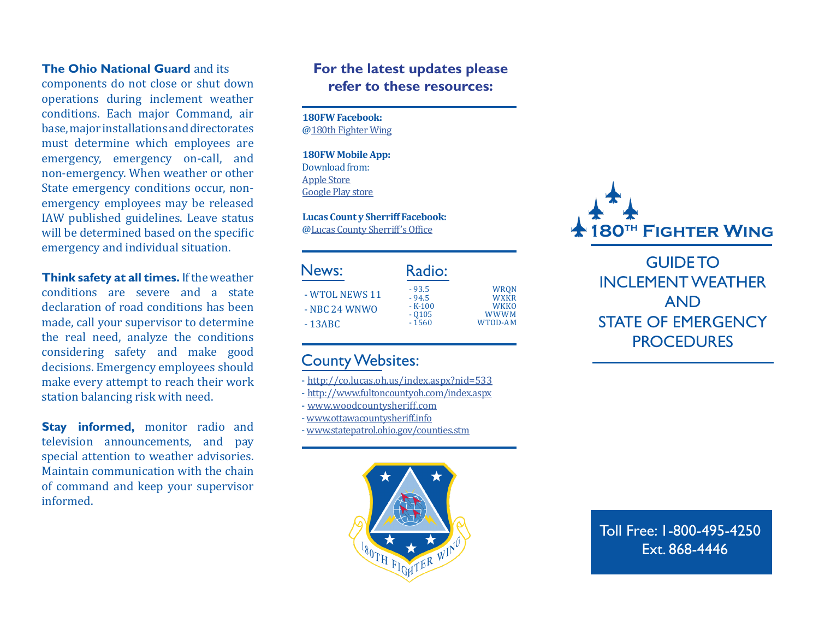#### **The Ohio National Guard** and its

components do not close or shut down operations during inclement weather conditions. Each major Command, air base, major installations and directorates must determine which employees are emergency, emergency on-call, and non-emergency. When weather or other State emergency conditions occur, nonemergency employees may be released IAW published guidelines. Leave status will be determined based on the specific emergency and individual situation.

**Think safety at all times.** If the weather conditions are severe and a state declaration of road conditions has been made, call your supervisor to determine the real need, analyze the conditions considering safety and make good decisions. Emergency employees should make every attempt to reach their work station balancing risk with need.

**Stay informed, monitor radio and** television announcements, and pay special attention to weather advisories. Maintain communication with the chain of command and keep your supervisor informed.

## **For the latest updates please refer to these resources:**

**180FW Facebook:**  @180th Fighter Wing

**180FW Mobile App:** Download from: Apple Store Google Play store

**Lucas Count y Sherriff Facebook:**  @Lucas County Sherriff's Office

| News:<br>- WTOL NEWS 11<br>$-$ NBC 24 WNWO<br>$-13ABC$ | Radio:                                               | <b>WRON</b><br>WXKR<br><b>WKKO</b><br><b>WWWM</b><br>WTOD-AM |
|--------------------------------------------------------|------------------------------------------------------|--------------------------------------------------------------|
|                                                        | $-93.5$<br>$-94.5$<br>$-K-100$<br>$-0105$<br>$-1560$ |                                                              |

## County Websites:

- http://co.lucas.oh.us/index.aspx?nid=533
- http://www.fultoncountyoh.com/index.aspx
- www.woodcountysheriff.com
- www.ottawacountysheriff.info
- www.statepatrol.ohio.gov/counties.stm





GUIDE TO INCLEMENT WEATHER AND STATE OF EMERGENCY **PROCEDURES** 

Toll Free: 1-800-495-4250 Ext. 868-4446